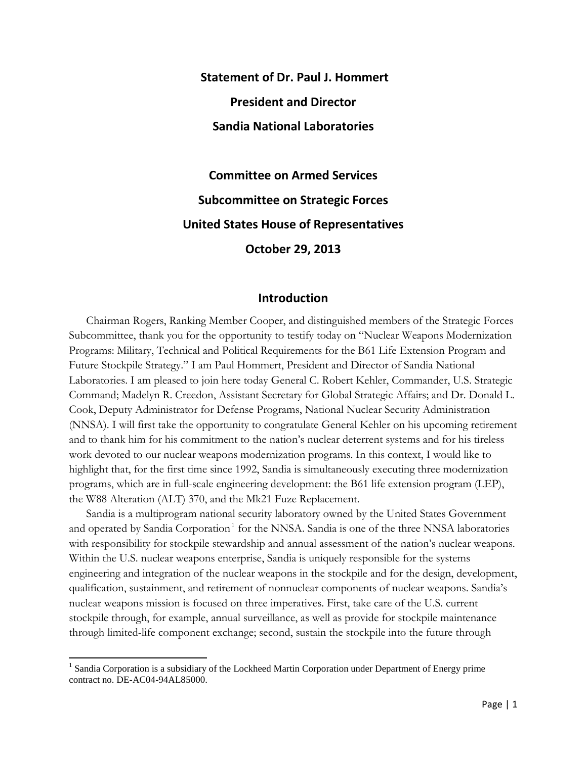**Statement of Dr. Paul J. Hommert President and Director Sandia National Laboratories**

**Committee on Armed Services Subcommittee on Strategic Forces United States House of Representatives October 29, 2013**

#### **Introduction**

Chairman Rogers, Ranking Member Cooper, and distinguished members of the Strategic Forces Subcommittee, thank you for the opportunity to testify today on "Nuclear Weapons Modernization Programs: Military, Technical and Political Requirements for the B61 Life Extension Program and Future Stockpile Strategy." I am Paul Hommert, President and Director of Sandia National Laboratories. I am pleased to join here today General C. Robert Kehler, Commander, U.S. Strategic Command; Madelyn R. Creedon, Assistant Secretary for Global Strategic Affairs; and Dr. Donald L. Cook, Deputy Administrator for Defense Programs, National Nuclear Security Administration (NNSA). I will first take the opportunity to congratulate General Kehler on his upcoming retirement and to thank him for his commitment to the nation's nuclear deterrent systems and for his tireless work devoted to our nuclear weapons modernization programs. In this context, I would like to highlight that, for the first time since 1992, Sandia is simultaneously executing three modernization programs, which are in full-scale engineering development: the B61 life extension program (LEP), the W88 Alteration (ALT) 370, and the Mk21 Fuze Replacement.

Sandia is a multiprogram national security laboratory owned by the United States Government and operated by Sandia Corporation<sup>[1](#page-0-0)</sup> for the NNSA. Sandia is one of the three NNSA laboratories with responsibility for stockpile stewardship and annual assessment of the nation's nuclear weapons. Within the U.S. nuclear weapons enterprise, Sandia is uniquely responsible for the systems engineering and integration of the nuclear weapons in the stockpile and for the design, development, qualification, sustainment, and retirement of nonnuclear components of nuclear weapons. Sandia's nuclear weapons mission is focused on three imperatives. First, take care of the U.S. current stockpile through, for example, annual surveillance, as well as provide for stockpile maintenance through limited-life component exchange; second, sustain the stockpile into the future through

<span id="page-0-0"></span><sup>&</sup>lt;sup>1</sup> Sandia Corporation is a subsidiary of the Lockheed Martin Corporation under Department of Energy prime contract no. DE-AC04-94AL85000.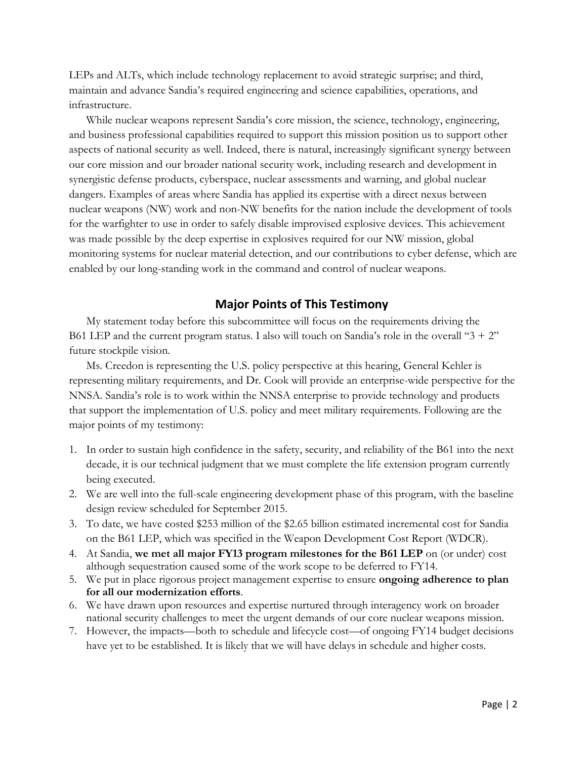LEPs and ALTs, which include technology replacement to avoid strategic surprise; and third, maintain and advance Sandia's required engineering and science capabilities, operations, and infrastructure.

While nuclear weapons represent Sandia's core mission, the science, technology, engineering, and business professional capabilities required to support this mission position us to support other aspects of national security as well. Indeed, there is natural, increasingly significant synergy between our core mission and our broader national security work, including research and development in synergistic defense products, cyberspace, nuclear assessments and warning, and global nuclear dangers. Examples of areas where Sandia has applied its expertise with a direct nexus between nuclear weapons (NW) work and non-NW benefits for the nation include the development of tools for the warfighter to use in order to safely disable improvised explosive devices. This achievement was made possible by the deep expertise in explosives required for our NW mission, global monitoring systems for nuclear material detection, and our contributions to cyber defense, which are enabled by our long-standing work in the command and control of nuclear weapons.

# **Major Points of This Testimony**

My statement today before this subcommittee will focus on the requirements driving the B61 LEP and the current program status. I also will touch on Sandia's role in the overall " $3 + 2$ " future stockpile vision.

Ms. Creedon is representing the U.S. policy perspective at this hearing, General Kehler is representing military requirements, and Dr. Cook will provide an enterprise-wide perspective for the NNSA. Sandia's role is to work within the NNSA enterprise to provide technology and products that support the implementation of U.S. policy and meet military requirements. Following are the major points of my testimony:

- 1. In order to sustain high confidence in the safety, security, and reliability of the B61 into the next decade, it is our technical judgment that we must complete the life extension program currently being executed.
- 2. We are well into the full-scale engineering development phase of this program, with the baseline design review scheduled for September 2015.
- 3. To date, we have costed \$253 million of the \$2.65 billion estimated incremental cost for Sandia on the B61 LEP, which was specified in the Weapon Development Cost Report (WDCR).
- 4. At Sandia, **we met all major FY13 program milestones for the B61 LEP** on (or under) cost although sequestration caused some of the work scope to be deferred to FY14.
- 5. We put in place rigorous project management expertise to ensure **ongoing adherence to plan for all our modernization efforts**.
- 6. We have drawn upon resources and expertise nurtured through interagency work on broader national security challenges to meet the urgent demands of our core nuclear weapons mission.
- 7. However, the impacts—both to schedule and lifecycle cost—of ongoing FY14 budget decisions have yet to be established. It is likely that we will have delays in schedule and higher costs.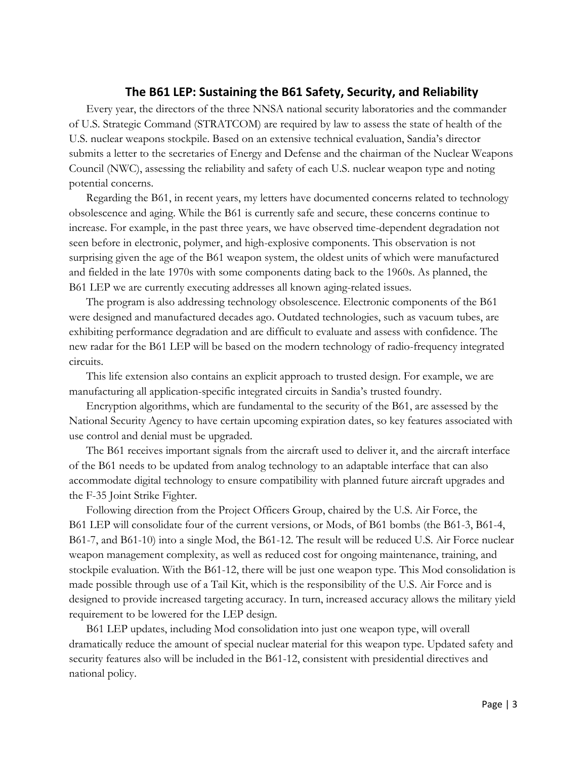## **The B61 LEP: Sustaining the B61 Safety, Security, and Reliability**

Every year, the directors of the three NNSA national security laboratories and the commander of U.S. Strategic Command (STRATCOM) are required by law to assess the state of health of the U.S. nuclear weapons stockpile. Based on an extensive technical evaluation, Sandia's director submits a letter to the secretaries of Energy and Defense and the chairman of the Nuclear Weapons Council (NWC), assessing the reliability and safety of each U.S. nuclear weapon type and noting potential concerns.

Regarding the B61, in recent years, my letters have documented concerns related to technology obsolescence and aging. While the B61 is currently safe and secure, these concerns continue to increase. For example, in the past three years, we have observed time-dependent degradation not seen before in electronic, polymer, and high-explosive components. This observation is not surprising given the age of the B61 weapon system, the oldest units of which were manufactured and fielded in the late 1970s with some components dating back to the 1960s. As planned, the B61 LEP we are currently executing addresses all known aging-related issues.

The program is also addressing technology obsolescence. Electronic components of the B61 were designed and manufactured decades ago. Outdated technologies, such as vacuum tubes, are exhibiting performance degradation and are difficult to evaluate and assess with confidence. The new radar for the B61 LEP will be based on the modern technology of radio-frequency integrated circuits.

This life extension also contains an explicit approach to trusted design. For example, we are manufacturing all application-specific integrated circuits in Sandia's trusted foundry.

Encryption algorithms, which are fundamental to the security of the B61, are assessed by the National Security Agency to have certain upcoming expiration dates, so key features associated with use control and denial must be upgraded.

The B61 receives important signals from the aircraft used to deliver it, and the aircraft interface of the B61 needs to be updated from analog technology to an adaptable interface that can also accommodate digital technology to ensure compatibility with planned future aircraft upgrades and the F-35 Joint Strike Fighter.

Following direction from the Project Officers Group, chaired by the U.S. Air Force, the B61 LEP will consolidate four of the current versions, or Mods, of B61 bombs (the B61-3, B61-4, B61-7, and B61-10) into a single Mod, the B61-12. The result will be reduced U.S. Air Force nuclear weapon management complexity, as well as reduced cost for ongoing maintenance, training, and stockpile evaluation. With the B61-12, there will be just one weapon type. This Mod consolidation is made possible through use of a Tail Kit, which is the responsibility of the U.S. Air Force and is designed to provide increased targeting accuracy. In turn, increased accuracy allows the military yield requirement to be lowered for the LEP design.

B61 LEP updates, including Mod consolidation into just one weapon type, will overall dramatically reduce the amount of special nuclear material for this weapon type. Updated safety and security features also will be included in the B61-12, consistent with presidential directives and national policy.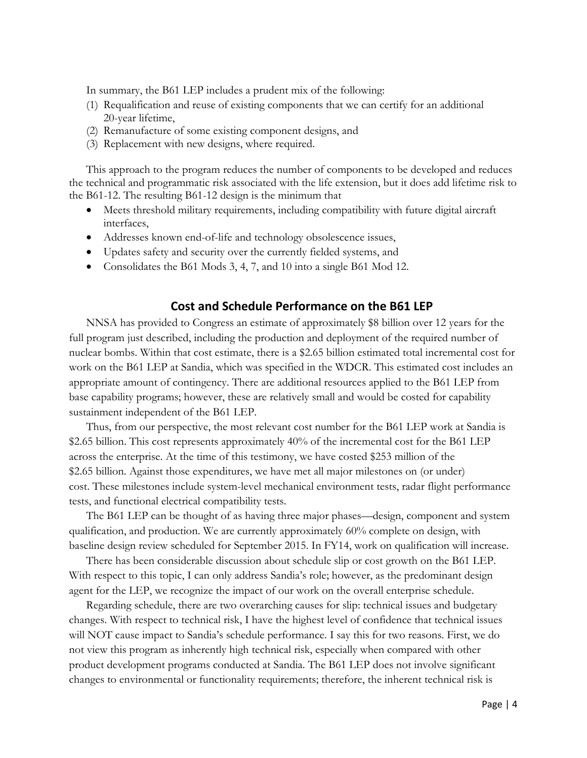In summary, the B61 LEP includes a prudent mix of the following:

- (1) Requalification and reuse of existing components that we can certify for an additional 20-year lifetime,
- (2) Remanufacture of some existing component designs, and
- (3) Replacement with new designs, where required.

This approach to the program reduces the number of components to be developed and reduces the technical and programmatic risk associated with the life extension, but it does add lifetime risk to the B61-12. The resulting B61-12 design is the minimum that

- Meets threshold military requirements, including compatibility with future digital aircraft interfaces,
- Addresses known end-of-life and technology obsolescence issues,
- Updates safety and security over the currently fielded systems, and
- Consolidates the B61 Mods 3, 4, 7, and 10 into a single B61 Mod 12.

## **Cost and Schedule Performance on the B61 LEP**

NNSA has provided to Congress an estimate of approximately \$8 billion over 12 years for the full program just described, including the production and deployment of the required number of nuclear bombs. Within that cost estimate, there is a \$2.65 billion estimated total incremental cost for work on the B61 LEP at Sandia, which was specified in the WDCR. This estimated cost includes an appropriate amount of contingency. There are additional resources applied to the B61 LEP from base capability programs; however, these are relatively small and would be costed for capability sustainment independent of the B61 LEP.

Thus, from our perspective, the most relevant cost number for the B61 LEP work at Sandia is \$2.65 billion. This cost represents approximately 40% of the incremental cost for the B61 LEP across the enterprise. At the time of this testimony, we have costed \$253 million of the \$2.65 billion. Against those expenditures, we have met all major milestones on (or under) cost. These milestones include system-level mechanical environment tests, radar flight performance tests, and functional electrical compatibility tests.

The B61 LEP can be thought of as having three major phases—design, component and system qualification, and production. We are currently approximately 60% complete on design, with baseline design review scheduled for September 2015. In FY14, work on qualification will increase.

There has been considerable discussion about schedule slip or cost growth on the B61 LEP. With respect to this topic, I can only address Sandia's role; however, as the predominant design agent for the LEP, we recognize the impact of our work on the overall enterprise schedule.

Regarding schedule, there are two overarching causes for slip: technical issues and budgetary changes. With respect to technical risk, I have the highest level of confidence that technical issues will NOT cause impact to Sandia's schedule performance. I say this for two reasons. First, we do not view this program as inherently high technical risk, especially when compared with other product development programs conducted at Sandia. The B61 LEP does not involve significant changes to environmental or functionality requirements; therefore, the inherent technical risk is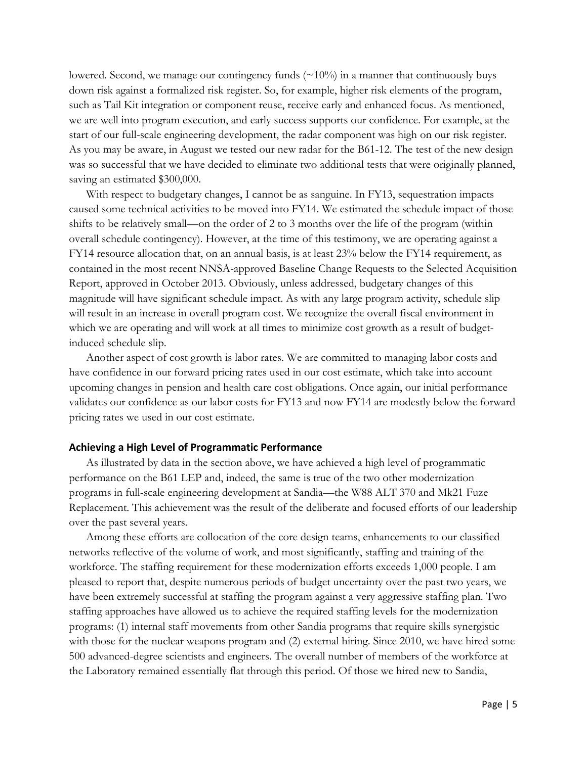lowered. Second, we manage our contingency funds  $(\sim 10\%)$  in a manner that continuously buys down risk against a formalized risk register. So, for example, higher risk elements of the program, such as Tail Kit integration or component reuse, receive early and enhanced focus. As mentioned, we are well into program execution, and early success supports our confidence. For example, at the start of our full-scale engineering development, the radar component was high on our risk register. As you may be aware, in August we tested our new radar for the B61-12. The test of the new design was so successful that we have decided to eliminate two additional tests that were originally planned, saving an estimated \$300,000.

With respect to budgetary changes, I cannot be as sanguine. In FY13, sequestration impacts caused some technical activities to be moved into FY14. We estimated the schedule impact of those shifts to be relatively small—on the order of 2 to 3 months over the life of the program (within overall schedule contingency). However, at the time of this testimony, we are operating against a FY14 resource allocation that, on an annual basis, is at least 23% below the FY14 requirement, as contained in the most recent NNSA-approved Baseline Change Requests to the Selected Acquisition Report, approved in October 2013. Obviously, unless addressed, budgetary changes of this magnitude will have significant schedule impact. As with any large program activity, schedule slip will result in an increase in overall program cost. We recognize the overall fiscal environment in which we are operating and will work at all times to minimize cost growth as a result of budgetinduced schedule slip.

Another aspect of cost growth is labor rates. We are committed to managing labor costs and have confidence in our forward pricing rates used in our cost estimate, which take into account upcoming changes in pension and health care cost obligations. Once again, our initial performance validates our confidence as our labor costs for FY13 and now FY14 are modestly below the forward pricing rates we used in our cost estimate.

#### **Achieving a High Level of Programmatic Performance**

As illustrated by data in the section above, we have achieved a high level of programmatic performance on the B61 LEP and, indeed, the same is true of the two other modernization programs in full-scale engineering development at Sandia—the W88 ALT 370 and Mk21 Fuze Replacement. This achievement was the result of the deliberate and focused efforts of our leadership over the past several years.

Among these efforts are collocation of the core design teams, enhancements to our classified networks reflective of the volume of work, and most significantly, staffing and training of the workforce. The staffing requirement for these modernization efforts exceeds 1,000 people. I am pleased to report that, despite numerous periods of budget uncertainty over the past two years, we have been extremely successful at staffing the program against a very aggressive staffing plan. Two staffing approaches have allowed us to achieve the required staffing levels for the modernization programs: (1) internal staff movements from other Sandia programs that require skills synergistic with those for the nuclear weapons program and (2) external hiring. Since 2010, we have hired some 500 advanced-degree scientists and engineers. The overall number of members of the workforce at the Laboratory remained essentially flat through this period. Of those we hired new to Sandia,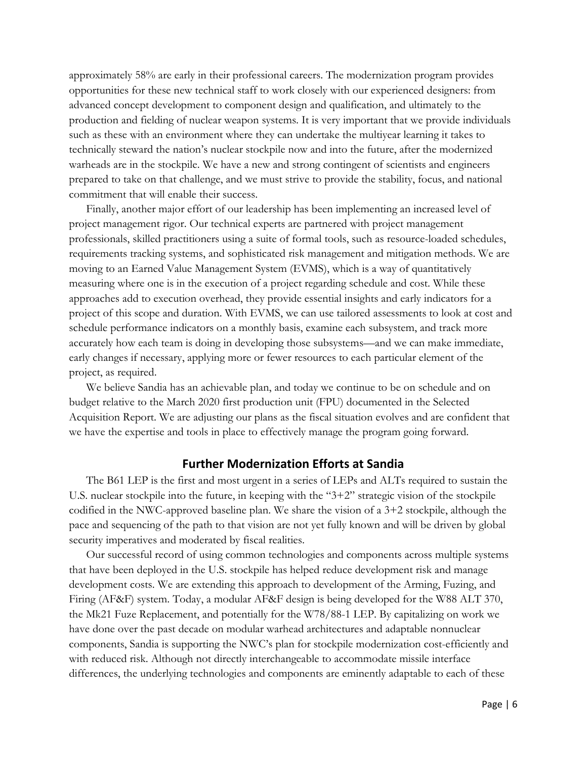approximately 58% are early in their professional careers. The modernization program provides opportunities for these new technical staff to work closely with our experienced designers: from advanced concept development to component design and qualification, and ultimately to the production and fielding of nuclear weapon systems. It is very important that we provide individuals such as these with an environment where they can undertake the multiyear learning it takes to technically steward the nation's nuclear stockpile now and into the future, after the modernized warheads are in the stockpile. We have a new and strong contingent of scientists and engineers prepared to take on that challenge, and we must strive to provide the stability, focus, and national commitment that will enable their success.

Finally, another major effort of our leadership has been implementing an increased level of project management rigor. Our technical experts are partnered with project management professionals, skilled practitioners using a suite of formal tools, such as resource-loaded schedules, requirements tracking systems, and sophisticated risk management and mitigation methods. We are moving to an Earned Value Management System (EVMS), which is a way of quantitatively measuring where one is in the execution of a project regarding schedule and cost. While these approaches add to execution overhead, they provide essential insights and early indicators for a project of this scope and duration. With EVMS, we can use tailored assessments to look at cost and schedule performance indicators on a monthly basis, examine each subsystem, and track more accurately how each team is doing in developing those subsystems—and we can make immediate, early changes if necessary, applying more or fewer resources to each particular element of the project, as required.

We believe Sandia has an achievable plan, and today we continue to be on schedule and on budget relative to the March 2020 first production unit (FPU) documented in the Selected Acquisition Report. We are adjusting our plans as the fiscal situation evolves and are confident that we have the expertise and tools in place to effectively manage the program going forward.

#### **Further Modernization Efforts at Sandia**

The B61 LEP is the first and most urgent in a series of LEPs and ALTs required to sustain the U.S. nuclear stockpile into the future, in keeping with the "3+2" strategic vision of the stockpile codified in the NWC-approved baseline plan. We share the vision of a 3+2 stockpile, although the pace and sequencing of the path to that vision are not yet fully known and will be driven by global security imperatives and moderated by fiscal realities.

Our successful record of using common technologies and components across multiple systems that have been deployed in the U.S. stockpile has helped reduce development risk and manage development costs. We are extending this approach to development of the Arming, Fuzing, and Firing (AF&F) system. Today, a modular AF&F design is being developed for the W88 ALT 370, the Mk21 Fuze Replacement, and potentially for the W78/88-1 LEP. By capitalizing on work we have done over the past decade on modular warhead architectures and adaptable nonnuclear components, Sandia is supporting the NWC's plan for stockpile modernization cost-efficiently and with reduced risk. Although not directly interchangeable to accommodate missile interface differences, the underlying technologies and components are eminently adaptable to each of these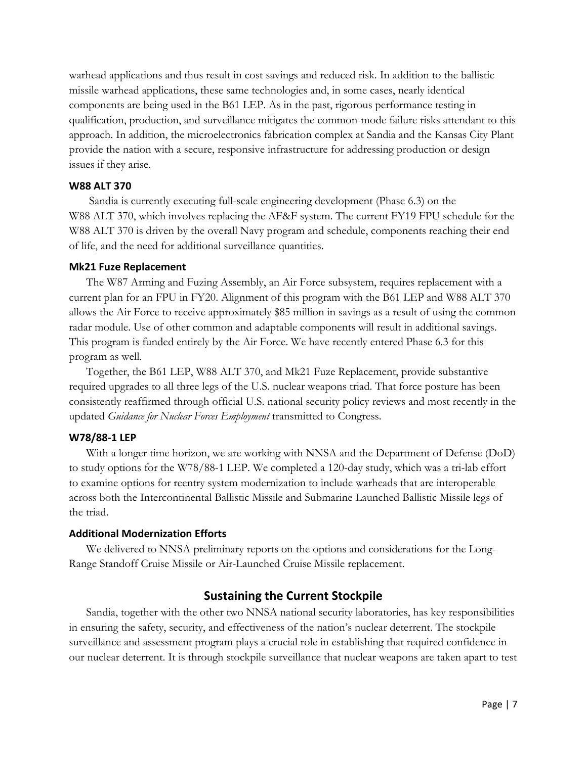warhead applications and thus result in cost savings and reduced risk. In addition to the ballistic missile warhead applications, these same technologies and, in some cases, nearly identical components are being used in the B61 LEP. As in the past, rigorous performance testing in qualification, production, and surveillance mitigates the common-mode failure risks attendant to this approach. In addition, the microelectronics fabrication complex at Sandia and the Kansas City Plant provide the nation with a secure, responsive infrastructure for addressing production or design issues if they arise.

## **W88 ALT 370**

Sandia is currently executing full-scale engineering development (Phase 6.3) on the W88 ALT 370, which involves replacing the AF&F system. The current FY19 FPU schedule for the W88 ALT 370 is driven by the overall Navy program and schedule, components reaching their end of life, and the need for additional surveillance quantities.

#### **Mk21 Fuze Replacement**

The W87 Arming and Fuzing Assembly, an Air Force subsystem, requires replacement with a current plan for an FPU in FY20. Alignment of this program with the B61 LEP and W88 ALT 370 allows the Air Force to receive approximately \$85 million in savings as a result of using the common radar module. Use of other common and adaptable components will result in additional savings. This program is funded entirely by the Air Force. We have recently entered Phase 6.3 for this program as well.

Together, the B61 LEP, W88 ALT 370, and Mk21 Fuze Replacement, provide substantive required upgrades to all three legs of the U.S. nuclear weapons triad. That force posture has been consistently reaffirmed through official U.S. national security policy reviews and most recently in the updated *Guidance for Nuclear Forces Employment* transmitted to Congress.

#### **W78/88-1 LEP**

With a longer time horizon, we are working with NNSA and the Department of Defense (DoD) to study options for the W78/88-1 LEP. We completed a 120-day study, which was a tri-lab effort to examine options for reentry system modernization to include warheads that are interoperable across both the Intercontinental Ballistic Missile and Submarine Launched Ballistic Missile legs of the triad.

#### **Additional Modernization Efforts**

We delivered to NNSA preliminary reports on the options and considerations for the Long-Range Standoff Cruise Missile or Air-Launched Cruise Missile replacement.

## **Sustaining the Current Stockpile**

Sandia, together with the other two NNSA national security laboratories, has key responsibilities in ensuring the safety, security, and effectiveness of the nation's nuclear deterrent. The stockpile surveillance and assessment program plays a crucial role in establishing that required confidence in our nuclear deterrent. It is through stockpile surveillance that nuclear weapons are taken apart to test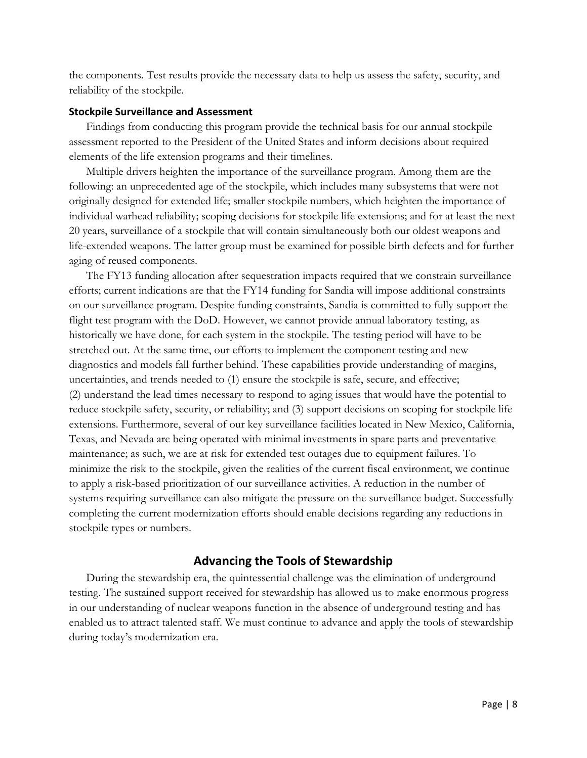the components. Test results provide the necessary data to help us assess the safety, security, and reliability of the stockpile.

#### **Stockpile Surveillance and Assessment**

Findings from conducting this program provide the technical basis for our annual stockpile assessment reported to the President of the United States and inform decisions about required elements of the life extension programs and their timelines.

Multiple drivers heighten the importance of the surveillance program. Among them are the following: an unprecedented age of the stockpile, which includes many subsystems that were not originally designed for extended life; smaller stockpile numbers, which heighten the importance of individual warhead reliability; scoping decisions for stockpile life extensions; and for at least the next 20 years, surveillance of a stockpile that will contain simultaneously both our oldest weapons and life-extended weapons. The latter group must be examined for possible birth defects and for further aging of reused components.

The FY13 funding allocation after sequestration impacts required that we constrain surveillance efforts; current indications are that the FY14 funding for Sandia will impose additional constraints on our surveillance program. Despite funding constraints, Sandia is committed to fully support the flight test program with the DoD. However, we cannot provide annual laboratory testing, as historically we have done, for each system in the stockpile. The testing period will have to be stretched out. At the same time, our efforts to implement the component testing and new diagnostics and models fall further behind. These capabilities provide understanding of margins, uncertainties, and trends needed to (1) ensure the stockpile is safe, secure, and effective; (2) understand the lead times necessary to respond to aging issues that would have the potential to reduce stockpile safety, security, or reliability; and (3) support decisions on scoping for stockpile life extensions. Furthermore, several of our key surveillance facilities located in New Mexico, California, Texas, and Nevada are being operated with minimal investments in spare parts and preventative maintenance; as such, we are at risk for extended test outages due to equipment failures. To minimize the risk to the stockpile, given the realities of the current fiscal environment, we continue to apply a risk-based prioritization of our surveillance activities. A reduction in the number of systems requiring surveillance can also mitigate the pressure on the surveillance budget. Successfully completing the current modernization efforts should enable decisions regarding any reductions in stockpile types or numbers.

## **Advancing the Tools of Stewardship**

During the stewardship era, the quintessential challenge was the elimination of underground testing. The sustained support received for stewardship has allowed us to make enormous progress in our understanding of nuclear weapons function in the absence of underground testing and has enabled us to attract talented staff. We must continue to advance and apply the tools of stewardship during today's modernization era.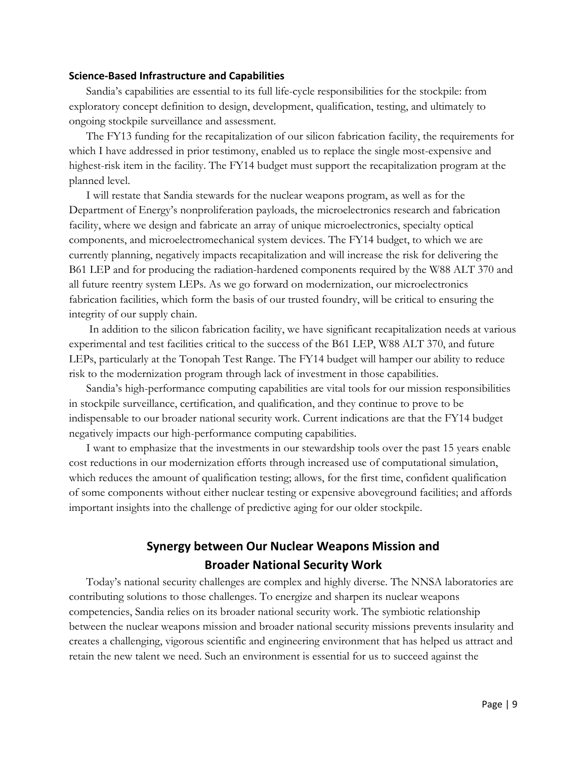#### **Science-Based Infrastructure and Capabilities**

Sandia's capabilities are essential to its full life-cycle responsibilities for the stockpile: from exploratory concept definition to design, development, qualification, testing, and ultimately to ongoing stockpile surveillance and assessment.

The FY13 funding for the recapitalization of our silicon fabrication facility, the requirements for which I have addressed in prior testimony, enabled us to replace the single most-expensive and highest-risk item in the facility. The FY14 budget must support the recapitalization program at the planned level.

I will restate that Sandia stewards for the nuclear weapons program, as well as for the Department of Energy's nonproliferation payloads, the microelectronics research and fabrication facility, where we design and fabricate an array of unique microelectronics, specialty optical components, and microelectromechanical system devices. The FY14 budget, to which we are currently planning, negatively impacts recapitalization and will increase the risk for delivering the B61 LEP and for producing the radiation-hardened components required by the W88 ALT 370 and all future reentry system LEPs. As we go forward on modernization, our microelectronics fabrication facilities, which form the basis of our trusted foundry, will be critical to ensuring the integrity of our supply chain.

In addition to the silicon fabrication facility, we have significant recapitalization needs at various experimental and test facilities critical to the success of the B61 LEP, W88 ALT 370, and future LEPs, particularly at the Tonopah Test Range. The FY14 budget will hamper our ability to reduce risk to the modernization program through lack of investment in those capabilities.

Sandia's high-performance computing capabilities are vital tools for our mission responsibilities in stockpile surveillance, certification, and qualification, and they continue to prove to be indispensable to our broader national security work. Current indications are that the FY14 budget negatively impacts our high-performance computing capabilities.

I want to emphasize that the investments in our stewardship tools over the past 15 years enable cost reductions in our modernization efforts through increased use of computational simulation, which reduces the amount of qualification testing; allows, for the first time, confident qualification of some components without either nuclear testing or expensive aboveground facilities; and affords important insights into the challenge of predictive aging for our older stockpile.

# **Synergy between Our Nuclear Weapons Mission and Broader National Security Work**

Today's national security challenges are complex and highly diverse. The NNSA laboratories are contributing solutions to those challenges. To energize and sharpen its nuclear weapons competencies, Sandia relies on its broader national security work. The symbiotic relationship between the nuclear weapons mission and broader national security missions prevents insularity and creates a challenging, vigorous scientific and engineering environment that has helped us attract and retain the new talent we need. Such an environment is essential for us to succeed against the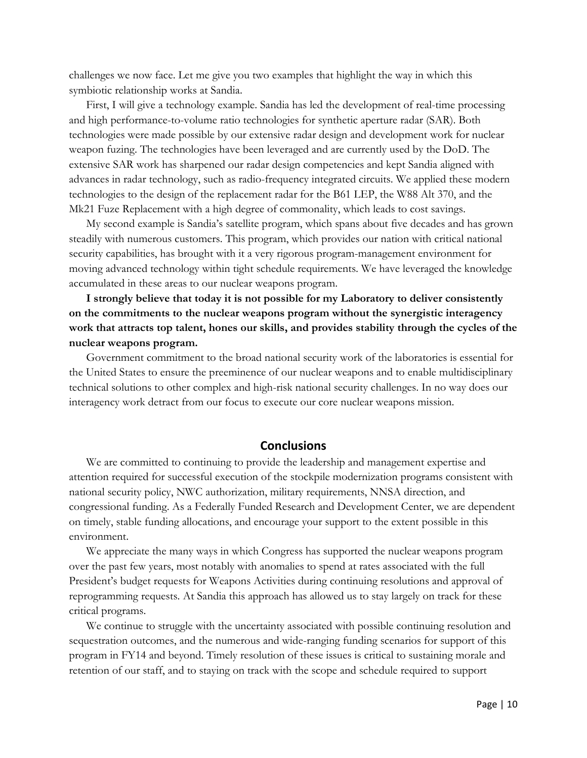challenges we now face. Let me give you two examples that highlight the way in which this symbiotic relationship works at Sandia.

First, I will give a technology example. Sandia has led the development of real-time processing and high performance-to-volume ratio technologies for synthetic aperture radar (SAR). Both technologies were made possible by our extensive radar design and development work for nuclear weapon fuzing. The technologies have been leveraged and are currently used by the DoD. The extensive SAR work has sharpened our radar design competencies and kept Sandia aligned with advances in radar technology, such as radio-frequency integrated circuits. We applied these modern technologies to the design of the replacement radar for the B61 LEP, the W88 Alt 370, and the Mk21 Fuze Replacement with a high degree of commonality, which leads to cost savings.

My second example is Sandia's satellite program, which spans about five decades and has grown steadily with numerous customers. This program, which provides our nation with critical national security capabilities, has brought with it a very rigorous program-management environment for moving advanced technology within tight schedule requirements. We have leveraged the knowledge accumulated in these areas to our nuclear weapons program.

**I strongly believe that today it is not possible for my Laboratory to deliver consistently on the commitments to the nuclear weapons program without the synergistic interagency work that attracts top talent, hones our skills, and provides stability through the cycles of the nuclear weapons program.** 

Government commitment to the broad national security work of the laboratories is essential for the United States to ensure the preeminence of our nuclear weapons and to enable multidisciplinary technical solutions to other complex and high-risk national security challenges. In no way does our interagency work detract from our focus to execute our core nuclear weapons mission.

#### **Conclusions**

We are committed to continuing to provide the leadership and management expertise and attention required for successful execution of the stockpile modernization programs consistent with national security policy, NWC authorization, military requirements, NNSA direction, and congressional funding. As a Federally Funded Research and Development Center, we are dependent on timely, stable funding allocations, and encourage your support to the extent possible in this environment.

We appreciate the many ways in which Congress has supported the nuclear weapons program over the past few years, most notably with anomalies to spend at rates associated with the full President's budget requests for Weapons Activities during continuing resolutions and approval of reprogramming requests. At Sandia this approach has allowed us to stay largely on track for these critical programs.

We continue to struggle with the uncertainty associated with possible continuing resolution and sequestration outcomes, and the numerous and wide-ranging funding scenarios for support of this program in FY14 and beyond. Timely resolution of these issues is critical to sustaining morale and retention of our staff, and to staying on track with the scope and schedule required to support